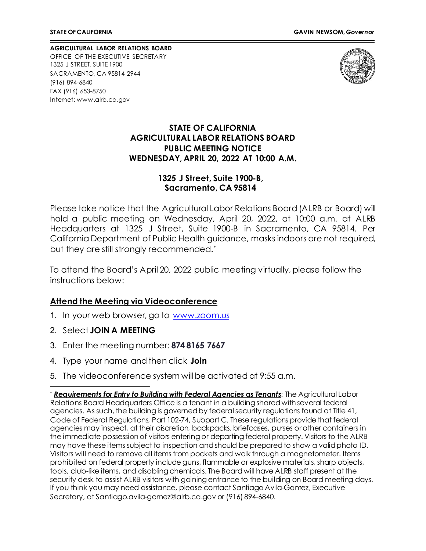**AGRICULTURAL LABOR RELATIONS BOARD** OFFICE OF THE EXECUTIVE SECRETARY 1325 J STREET, SUITE 1900 SACRAMENTO, CA 95814-2944 (916) 894-6840 FAX (916) 653-8750 Internet[: www.alrb.ca.gov](http://www.alrb.ca.gov/)



#### **STATE OF CALIFORNIA AGRICULTURAL LABOR RELATIONS BOARD PUBLIC MEETING NOTICE WEDNESDAY, APRIL 20, 2022 AT 10:00 A.M.**

#### **1325 J Street, Suite 1900-B, Sacramento, CA 95814**

Please take notice that the Agricultural Labor Relations Board (ALRB or Board) will hold a public meeting on Wednesday, April 20, 2022, at 10:00 a.m. at ALRB Headquarters at 1325 J Street, Suite 1900-B in Sacramento, CA 95814. Per California Department of Public Health guidance, masks indoors are not required, but they are still strongly recommended.[\\*](#page-0-0)

To attend the Board's April 20, 2022 public meeting virtually, please follow the instructions below:

### **Attend the Meeting via Videoconference**

- 1. In your web browser, go to [www.zoom.us](http://www.zoom.us/)
- 2. Select **JOIN A MEETING**
- 3. Enter the meeting number: **874 8165 7667**
- 4. Type your name and then click **Join**
- 5. The videoconference system willbe activated at 9:55 a.m.

<span id="page-0-0"></span><sup>\*</sup> *Requirements for Entry to Building with Federal Agencies as Tenants*: The Agricultural Labor Relations Board Headquarters Office is a tenant in a building shared with several federal agencies. As such, the building is governed by federal security regulations found at Title 41, Code of Federal Regulations, Part 102-74, Subpart C. These regulations provide that federal agencies may inspect, at their discretion, backpacks, briefcases, purses or other containers in the immediate possession of visitors entering or departing federal property. Visitors to the ALRB may have these items subject to inspection and should be prepared to show a valid photo ID. Visitors will need to remove all items from pockets and walk through a magnetometer. Items prohibited on federal property include guns, flammable or explosive materials, sharp objects, tools, club-like items, and disabling chemicals. The Board will have ALRB staff present at the security desk to assist ALRB visitors with gaining entrance to the building on Board meeting days. If you think you may need assistance, please contact Santiago Avila-Gomez, Executive Secretary, at Santiago.avila-gomez@alrb.ca.gov or (916) 894-6840.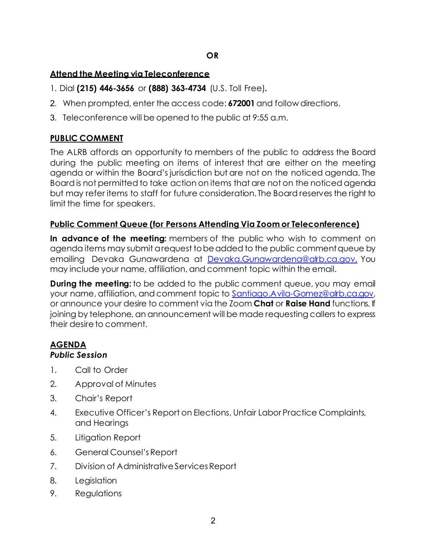## **Attend the Meeting via Teleconference**

- 1. Dial **(215) 446-3656** or **(888) 363-4734** (U.S. Toll Free)**.**
- 2. When prompted, enter the access code: **672001** and follow directions.
- 3. Teleconference will be opened to the public at 9:55 a.m.

# **PUBLIC COMMENT**

The ALRB affords an opportunity to members of the public to address the Board during the public meeting on items of interest that are either on the meeting agenda or within the Board's jurisdiction but are not on the noticed agenda. The Board is not permitted to take action on items that are not on the noticed agenda but may refer items to staff for future consideration. The Board reserves the right to limit the time for speakers.

### **Public Comment Queue (for Persons Attending Via Zoom or Teleconference)**

**In advance of the meeting:** members of the public who wish to comment on agenda items may submit a request to be added to the public comment queue by emailing Devaka Gunawardena at [Devaka.Gunawardena@alrb.ca.gov.](mailto:Devaka.Gunawardena@alrb.ca.gov.) You may include your name, affiliation, and comment topic within the email.

**During the meeting:** to be added to the public comment queue, you may email your name, affiliation, and comment topic to [Santiago.Avila-Gomez@alrb.ca.gov,](mailto:Santiago.Avila-Gomez@alrb.ca.gov) or announce your desire to comment via the Zoom **Chat** or **Raise Hand** functions. If joining by telephone, an announcement will be made requesting callers to express their desire to comment.

#### **AGENDA** *Public Session*

- 1. Call to Order
- 2. Approval of Minutes
- 3. Chair's Report
- 4. Executive Officer's Report on Elections, Unfair Labor Practice Complaints, and Hearings
- 5. Litigation Report
- 6. General Counsel'sReport
- 7. Division of Administrative Services Report
- 8. Legislation
- 9. Regulations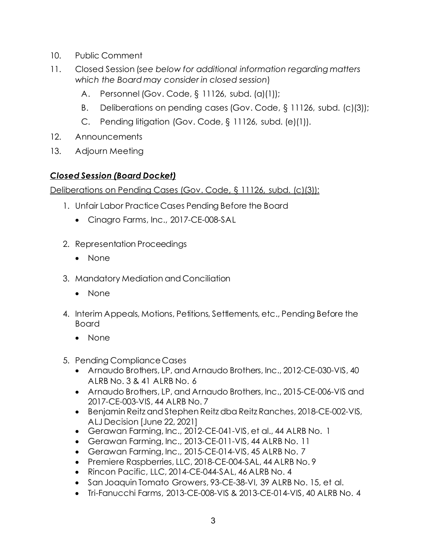- 10. Public Comment
- 11. Closed Session (*see below for additional information regarding matters which the Board may consider in closed session*)
	- A. Personnel (Gov. Code, § 11126, subd. (a)(1));
	- B. Deliberations on pending cases (Gov. Code, § 11126, subd. (c)(3));
	- C. Pending litigation (Gov. Code, § 11126, subd. (e)(1)).
- 12. Announcements
- 13. Adjourn Meeting

# *Closed Session (Board Docket)*

Deliberations on Pending Cases (Gov. Code, § 11126, subd. (c)(3)):

- 1. Unfair Labor Practice Cases Pending Before the Board
	- Cinagro Farms, Inc., 2017-CE-008-SAL
- 2. Representation Proceedings
	- None
- 3. Mandatory Mediation and Conciliation
	- None
- 4. Interim Appeals, Motions, Petitions, Settlements, etc., Pending Before the Board
	- None
- 5. Pending Compliance Cases
	- Arnaudo Brothers, LP, and Arnaudo Brothers, Inc., 2012-CE-030-VIS, 40 ALRB No. 3 & 41 ALRB No. 6
	- Arnaudo Brothers, LP, and Arnaudo Brothers, Inc., 2015-CE-006-VIS and 2017-CE-003-VIS, 44 ALRB No. 7
	- Benjamin Reitz and Stephen Reitz dba Reitz Ranches, 2018-CE-002-VIS, ALJ Decision [June 22, 2021]
	- Gerawan Farming, Inc., 2012-CE-041-VIS, et al., 44 ALRB No. 1
	- Gerawan Farming, Inc., 2013-CE-011-VIS, 44 ALRB No. 11
	- Gerawan Farming, Inc., 2015-CE-014-VIS, 45 ALRB No. 7
	- Premiere Raspberries, LLC, 2018-CE-004-SAL, 44 ALRB No. 9
	- Rincon Pacific, LLC, 2014-CE-044-SAL, 46 ALRB No. 4
	- San Joaquin Tomato Growers, 93-CE-38-VI, 39 ALRB No. 15, et al.
	- Tri-Fanucchi Farms, 2013-CE-008-VIS & 2013-CE-014-VIS, 40 ALRB No. 4